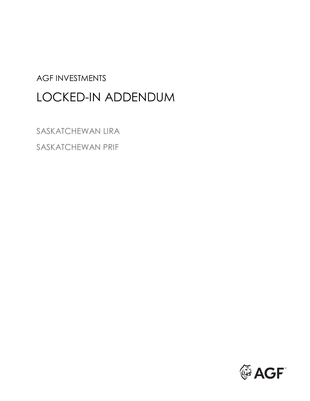# AGF INVESTMENTS LOCKED-IN ADDENDUM

SASKATCHEWAN LIRA SASKATCHEWAN PRIF

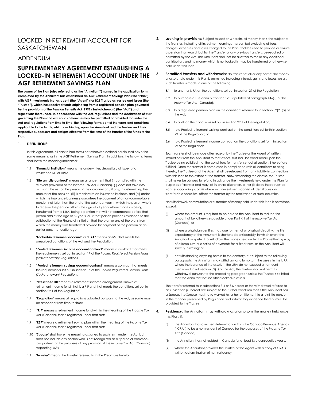## LOCKED-IN RETIREMENT ACCOUNT FOR SASKATCHEWAN

## ADDENDUM

## **SUPPLEMENTARY AGREEMENT ESTABLISHING A LOCKED-IN RETIREMENT ACCOUNT UNDER THE AGF RETIREMENT SAVINGS PLAN**

 **with AGF Investments Inc. as agent (the "Agent") for B2B Trustco as trustee and issuer (the The owner of the Plan (also referred to as the "Annuitant") named in the application form completed by the Annuitant has established an AGF Retirement Savings Plan (the "Plan") "Trustee"), which has received funds originating from a registered pension plan governed by the provisions of the** *Pension Benefits Act, 1992* **(Saskatchewan) (the "Act") and regulations thereunder. In accordance with the Act, regulations and the declaration of trust governing the Plan and except as otherwise may be permitted or provided for under the Act and regulations from time to time, the following forms part of the terms and conditions applicable to the funds, which are binding upon the Annuitant and the Trustee and their respective successors and assigns effective from the time of the transfer of the funds to the Plan.** 

#### **1. DEFINITIONS:**

 same meaning as in the AGF Retirement Savings Plan. In addition, the following terms shall have the meaning indicated: In this Agreement, all capitalized terms not otherwise defined herein shall have the

- $1.1$ "Financial institution" means the underwriter, depositary of issuer of a Prescribed RIF or LIRA;
- 1.2 **"Life annuity contract"** means an arrangement that (i) complies with the amount of the pension, (iii) is made with an insurance business, and (iv) under pension not later than the end of the calendar year in which the person who is relevant provisions of the *Income Tax Act* (Canada), (ii) does not take into account the sex of the person or the co-annuitant, if any, in determining the which the insurance business guarantees the payment of a non-commutable to receive the pension attains the age of 71 years where money is being transferred from a LIRA, being a pension that will not commence before that person attains the age of 55 years, or, if that person provides evidence to the satisfaction of the Financial institution that the plan or any of the plans from which the money was transferred provide for payment of the pension at an earlier age, that earlier age;
- 1.3 **"Locked-in retirement account"** or **"LIRA"** means an RSP that meets the prescribed conditions of the Act and the Regulation;
- 1.4 **"Pooled retirement income account contract"** means a contract that meets the requirements set out in section 17 of the *Pooled Registered Pension Plans (Saskatchewan) Regulations.*
- the requirements set out in section 16 of the *Pooled Registered Pension Plans*  1.5 **"Pooled retirement savings account contract"** means a contract that meets *(Saskatchewan) Regulations.*
- 1.6 1.6 **"Prescribed RIF"** means a retirement income arrangement, known as retirement income fund, that is a RIF and that meets the conditions set out in section 29.1 of the Reaulation:
- $17$ **"Regulation"** means all regulations adopted pursuant to the Act, as same may be amended from time to time;
- 1.8 **"RIF"** means a retirement income fund within the meaning of the *Income Tax Act* (Canada) that is registered under that act;
- 1.9 **"RSP"** means a retirement saving plan within the meaning of the *Income Tax*  Act (Canada) that is registered under that act;
- 1.10 **"Spouse"** shall have the meaning assigned to such term under the Act but does not include any person who is not recognized as a Spouse or commonlaw partner for the purposes of any provision of the *Income Tax Act* (Canada) respecting RSPs;
- 1.11 **"Transfer"** means the transfer referred to in the Preamble hereto.
- **Locking-in provisions:** Subject to section 3 herein, all money that is the subject of the Transfer, including all investment earnings thereon but excluding all fees, charges, expenses and taxes charged to this Plan, shall be used to provide or ensure a pension that would, but for the Transfer or any previous transfers, be required or permitted by the Act. The Annuitant shall not be allowed to make any additional contribution, and no money which is not locked in may be transferred or otherwise held under this Plan.
- **3. Permitted transfers and withdrawals:** No transfer of all or any part of the money or assets held under this Plan is permitted including interest, gains and losses, unless such transfer is made to one of the following:
	- $3.1$ to another LIRA on the conditions set out in section 29 of the Regulation;
	- 3.2 to purchase a Life annuity contract, as stipulated at paragraph 146(1) of the *Income Tax Act* (Canada);
	- 3.3 to a registered pension plan on the conditions referred to in section 32(2) (a) of the Act;
	- 3.4 to a RIF on the conditions set out in section 29.1 of the Regulation;
	- 3.5 to a Pooled retirement savings contract on the conditions set forth in section 29 of the Regulation; or
	- 3.6 to a Pooled retirement income contract on the conditions set forth in section 29 of the Regulation.

 instructions from the Annuitant to that effect, but shall be conditional upon the with this Plan to the extent of the transfer. Notwithstanding the above, the Trustee Such transfer shall be made after receipt by the Trustee or the Agent of written Trustee being satisfied that the conditions for transfer set out at section 5 hereof are fulfilled. Once the transfer is completed in compliance with all conditions relating thereto, the Trustee and the Agent shall be released from any liability in connection shall never be obliged to refund in advance the investments held under the Plan for purposes of transfer and may, at its entire discretion, either (i) delay the requested transfer accordingly, or (ii) where such investments consist of identifiable and transferable securities, effect the transfer by the remittance of such securities.

No withdrawal, commutation or surrender of money held under this Plan is permitted, except:

- (i) where the amount is required to be paid to the Annuitant to reduce the amount of tax otherwise payable under Part X.1 of the *Income Tax Act*  (Canada), or
- Annuitant may elect to withdraw the money held under this Plan either by way specify in writing; or (ii) where a physician certifies that, due to mental or physical disability, the life expectancy of the Annuitant is shortened considerably, in which event the of a lump sum or a series of payments for a fixed term, as the Annuitant will
- (iii) notwithstanding anything herein to the contrary, but subject to the following paragraph, the Annuitant may withdraw as a lump sum the assets in the LIRA where the balance of the assets in the LIRA do not exceed an amount mentioned in subsection 39(1) of the Act; the Trustee shall not permit a withdrawal pursuant to the preceding paragraph unless the Trustee is satisfied that the Annuitant has no other locked-in assets.

The transfer referred to in subsections 3.4 or 3.6 hereof or the withdrawal referred to at subsection (ii) hereof are subject to the further condition that if the Annuitant has a Spouse, the Spouse must have waived his or her entitlement to a joint life pension in the manner prescribed by Regulation and satisfactory evidence thereof must be provided to the Trustee.

- **4. Residency:** the Annuitant may withdraw as a lump sum the money held under this Plan, if:
	- (i) the Annuitant has a written determination from the Canada Revenue Agency ("CRA") to be a non-resident of Canada for the purposes of the *Income Tax Act* (Canada),
	- (ii) the Annuitant has not resided in Canada for at least two consecutive years,
	- (iii) where the Annuitant provides the Trustee or the Agent with a copy of CRA's written determination of non-residency.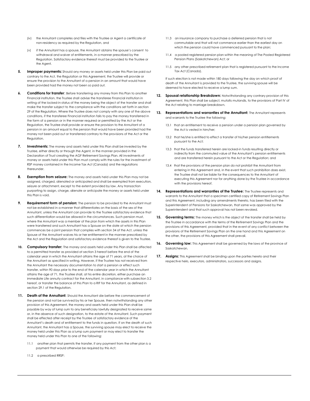- (iv) the Annuitant completes and files with the Trustee or Agent a certificate of non-residency as required by the Regulation, and
- (v) if the Annuitant has a spouse, the Annuitant obtains the spouse's consent to withdrawal and waiver of entitlements, in a manner prescribed by the Regulation. Satisfactory evidence thereof must be provided to the Trustee or the Agent.
- **5. Improper payments:** Should any money or assets held under this Plan be paid out contrary to the Act, the Regulation or this Agreement, the Trustee will provide or ensure the provision to the Annuitant of a pension in an amount that would have been provided had the money not been so paid out.
- **Conditions for transfer:** Before transferring any money from this Plan to another Financial institution, the Trustee shall advise the transferee Financial institution in writing of the locked-in status of the money being the object of the transfer and shall make the transfer subject to the compliance with the conditions set forth in section 29 of the Regulation. Where the Trustee does not comply with any one of the above conditions, if the transferee Financial institution fails to pay the money transferred in the form of a pension or in the manner required or permitted by the Act or the Regulation, the Trustee shall provide or ensure the provision to the Annuitant of a pension in an amount equal to the pension that would have been provided had the money not been paid out or transferred contrary to the provisions of the Act or the Regulation.
- **7. Investments:** The money and assets held under this Plan shall be invested by the Trustee, either directly or through the Agent, in the manner provided in the Declaration of Trust creating the AGF Retirement Savings Plan. All investments of money or assets held under this Plan must comply with the rules for the investment of RSP money contained in the Income Tax Act (Canada) and the regulations thereunder.
- this Plan is void. **8. Exemption from seizure:** The money and assets held under this Plan may not be assigned, charged, alienated or anticipated and shall be exempted from execution, seizure or attachment, except to the extent provided by law. Any transaction purporting to assign, charge, alienate or anticipate the money or assets held under
- **9.** Requirement form of pension: The pension to be provided to the Annuitant must not be established in a manner that differentiates on the basis of the sex of the Annuitant, unless the Annuitant can provide to the Trustee satisfactory evidence that such differentiation would be allowed in the circumstances. Such pension must, where the Annuitant was a member of the plan from which the assets in this Plan were transferred and such Annuitant has a Spouse on the date at which the pension commences be a joint pension that complies with section 34 of the Act, unless the Spouse of the Annuitant waives his or her entitlement in the manner prescribed by the Act and the Regulation and satisfactory evidence thereof is given to the Trustee.
- **10. Compulsory transfer:** The money and assets held under this Plan shall be affected to a permitted transfer as provided at section 3 hereof before the end of the calendar year in which the Annuitant attains the age of 71 years, at the choice of the Annuitant as specified in writing. However, if the Trustee has not received from the Annuitant the necessary documentation to start a pension or effect such transfer, within 90 days prior to the end of the calendar year in which the Annuitant attains the age of 71, the Trustee shall, at his entire discretion, either purchase an immediate Life annuity contract for the Annuitant, in compliance with subsection 3.2 hereof, or transfer the balance of this Plan to a RIF for the Annuitant, as defined in section 29.1 of the Regulation.
- **11. Death of the Annuitant:** Should the Annuitant die before the commencement of the pension and not be survived by his or her Spouse, then notwithstanding any other provision of this Agreement, the money and assets held under this Plan shall be payable by way of lump sum to any beneficiary lawfully designated to receive same or, in the absence of such designation, to the estate of the Annuitant. Such payment shall be effected after receipt by the Trustee of satisfactory evidence of the Annuitant's death and of entitlement to the funds in question. If on the death of such Annuitant, the Annuitant has a Spouse, the surviving spouse may elect to receive the money held under this Plan as a lump sum payment or may elect to transfer the money held under this Plan to one of the following:
	- 11.1 another plan that permits the transfer, if any payment from the other plan is a payment that would otherwise be required by this Act;
	- 11.2 a prescribed RRSP;
- 11.3 an insurance company to purchase a deferred pension that is not commutable and that will not commence earlier than the earliest day on which the pension could have commenced pursuant to the plan;
- 11.4 a pooled registered pension plan within the meaning of The Pooled Registered Pension Plans (Saskatchewan) Act; or
- 11.5 any other prescribed retirement plan that is registered pursuant to the Income Tax Act (Canada).

If such election is not made within 180 days following the day on which proof of death of the Annuitant is provided to the Trustee, the surviving spouse will be deemed to have elected to receive a lump sum.

- 12. **Spousal relationship Breakdown:** Notwithstanding any contrary provision of this Agreement, this Plan shall be subject, mutatis mutandis, to the provisions of Part IV of the Act relating to marriage breakdown.
- **13. Representations and warranties of the Annuitant:** The Annuitant represents and warrants to the Trustee the following:
	- 13.1 that an entitlement to receive a pension under a pension plan governed by the Act is vested in him/her;
	- 13.2 that he/she is entitled to effect a transfer of his/her pension entitlements pursuant to the Act;
	- 13.3 that the funds transferred herein are locked-in funds resulting directly or indirectly from the commuted value of the Annuitant's pension entitlements and are transferred herein pursuant to the Act or the Regulation; and
	- 13.4 that the provisions of the pension plan do not prohibit the Annuitant from entering in this Agreement and, in the event that such prohibition does exist, the Trustee shall not be liable for the consequences to the Annuitant of executing this Agreement nor for anything done by the Trustee in accordance with the provisions hereof.
- 14. Representations and warranties of the Trustee: The Trustee represents and and this Agreement, including any amendments thereto, has been filed with the warrants to the Annuitant that a specimen certified copy of Retirement Savings Plan Superintendent of Pensions for Saskatchewan, that same was approved by the Superintendent and that such approval has not been revoked.
- 15. **Governing terms:** The money which is the object of the transfer shall be held by the Trustee in accordance with the terms of the Retirement Savings Plan and the provisions of this Agreement, provided that in the event of any conflict between the provisions of the Retirement Savings Plan on the one hand and this Agreement on the other, the provisions of this Agreement shall prevail.
- 16. Governing law: This Agreement shall be governed by the laws of the province of Saskatchewan.
- **17.** Assigns: This Agreement shall be binding upon the parties hereto and their respective heirs, executors, administrators, successors and assigns.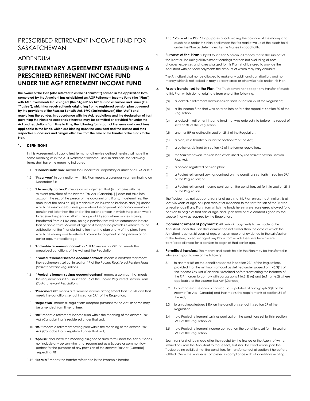## PRESCRIBED RETIREMENT INCOME FUND FOR SASKATCHEWAN

## ADDENDUM

# **SUPPLEMENTARY AGREEMENT ESTABLISHING A PRESCRIBED RETIREMENT INCOME FUND UNDER THE AGF RETIREMENT INCOME FUND**

 **with AGF Investments Inc. as agent (the "Agent" for B2B Trustco as trustee and issuer (the The owner of the Plan (also referred to as the "Annuitant") named in the application form completed by the Annuitant has established an AGF Retirement Income Fund (the "Plan") "Trustee"), which has received funds originating from a registered pension plan governed by the provisions of the** *Pension Benefits Act, 1992* **(Saskatchewan) (the "Act") and regulations thereunder. In accordance with the Act, regulations and the declaration of trust governing the Plan and except as otherwise may be permitted or provided for under the Act and regulations from time to time, the following forms part of the terms and conditions applicable to the funds, which are binding upon the Annuitant and the Trustee and their respective successors and assigns effective from the time of the transfer of the funds to the Plan.** 

#### **1. DEFINITIONS:**

 same meaning as in the AGF Retirement Income Fund. In addition, the following terms shall have the meaning indicated: In this Agreement, all capitalized terms not otherwise defined herein shall have the

- 1.1 **"Financial institution"** means the underwriter, depositary or issuer of a LIRA or RIF;
- 1.2 **"Fiscal year"** in connection with this Plan means a calendar year terminating on December 31;
- 1.3 **"Life annuity contract"** means an arrangement that (i) complies with the relevant provisions of the *Income Tax Act* (Canada), (ii) does not take into account the sex of the person or the co-annuitant, if any, in determining the amount of the pension, (iii) is made with an insurance business, and (iv) under which the insurance business guarantees the payment of a non-commutable pension not later than the end of the calendar year in which the person who is to receive the pension attains the age of 71 years where money is being transferred from a LIRA and, being a pension that will not commence before that person attains 55 years of age or, if that person provides evidence to the satisfaction of the financial institution that the plan or any of the plans from which the money was transferred provide for payment of the pension at an earlier age, that earlier age;
- 1.4 **"Locked-in retirement account"** or **"LIRA"** means an RSP that meets the prescribed conditions of the Act and the Regulation;
- 1.5 **"Pooled retirement income account contract"** means a contract that meets the requirements set out in section 17 of the *Pooled Registered Pension Plans (Saskatchewan) Regulations.*
- 1.6 **"Pooled retirement savings account contract"** means a contract that meets the requirements set out in section 16 of the *Pooled Registered Pension Plans (Saskatchewan) Regulations.*
- 1.7 **"Prescribed RIF"** means a retirement income arrangement that is a RIF and that meets the conditions set out in section 29.1 of the Regulation;
- 1.8 **"Regulation"** means all regulations adopted pursuant to the Act, as same may be amended from time to time;
- 1.9 **"RIF"** means a retirement income fund within the meaning of the *Income Tax*  Act **(Canada)** that is registered under that act:
- 1.10 **"RSP"** means a retirement saving plan within the meaning of the *Income Tax*  Act (Canada) that is registered under that act;
- 1.11 **"Spouse"** shall have the meaning assigned to such term under the Act but does not include any person who is not recognized as a Spouse or common-law partner for the purposes of any provision of the *Income Tax Act* (Canada) respecting RIF;
- 1.12 **"Transfer"** means the transfer referred to in the Preamble hereto;
- 1.13 **"Value of the Plan"** for purposes of calculating the balance of the money and assets held under this Plan, shall mean the fair market value of the assets held under the Plan as determined by the Trustee in good faith.
- 2. **Purpose of the Plan:** Subject to section 5 herein, all money that is the subject of the Transfer, including all investment earnings thereon but excluding all fees, charges, expenses and taxes charged to this Plan, shall be used to provide the Annuitant with periodic payments the amount of which may vary annually.

The Annuitant shall not be allowed to make any additional contribution, and no money which is not locked-in may be transferred or otherwise held under this Plan.

- 3. **Assets transferred to the Plan:** The Trustee may not accept any transfer of assets to this Plan which do not originate from one of the following:
	- (a) a locked-in retirement account as defined in section 29 of the Regulation;
	- (b) a life income fund that was entered into before the repeal of section 30 of the Regulation;
	- (c) a locked-in retirement income fund that was entered into before the repeal of section 31 of the Regulation;
	- (d) another RIF as defined in section 29.1 of the Regulation;
	- (e) a plan, as a transfer pursuant to section 32 of the Act;
	- (f) a policy as defined by section 42 of the former regulations;
	- (g) the Saskatchewan Pension Plan established by *The Saskatchewan Pension Plan Act*;
	- (h) a pooled registered pension plan;
	- (i) a Pooled retirement savings contract on the conditions set forth in section 29.1 of the Regulation; or
	- (j) a Pooled retirement income contract on the conditions set forth in section 29.1 of the Regulation.

The Trustee may not accept a transfer of assets to this Plan unless the Annuitant is at least 55 years of age, or, upon receipt of evidence to the satisfaction of the Trustee, an earlier age if any Plans from which the funds herein were transferred allowed for a pension to begin at that earlier age, and upon receipt of a consent signed by the spouse (if any) as required by the Regulation.

- 4. **Commencement of payments:** All periodic payments to be made to the Annuitant under this Plan shall commence not earlier than the date at which the Annuitant reaches 55 years of age, or, upon receipt of evidence to the satisfaction of the Trustee, an earlier age if any Plans from which the funds herein were transferred allowed for a pension to begin at that earlier age.
- 5. **Permitted transfers:** The money and assets held in this Plan may be transferred in whole or in part to one of the following:
	- 5.1 to another RIF on the conditions set out in section 29.1 of the Regulations, provided that the minimum amount as defined under subsection 146.3(1) of the *Income Tax Act* (Canada) is retained before transferring the balance of the RIF in order to comply with paragraphs 146.3(2) (e) and (e.1) or (e.2) where applicable of the *Income Tax Act* (Canada);
	- 5.2 to purchase a Life annuity contract, as stipulated at paragraph 60(l) of the *Income Tax Act* (Canada) and that meets the requirements of section 34 of the Act;
	- 5.3 to an acknowledged LIRA on the conditions set out in section 29 of the Regulation.
	- 5.4 to a Pooled retirement savings contract on the conditions set forth in section 29.1 of the Regulation; or
	- 5.5 to a Pooled retirement income contract on the conditions set forth in section 29.1 of the Regulation.

Such transfer shall be made after the receipt by the Trustee or the Agent of written instructions from the Annuitant to that effect, but shall be conditional upon the Trustee being satisfied that the conditions for transfer set out at section 6 hereof are fulfilled. Once the transfer is completed in compliance with all conditions relating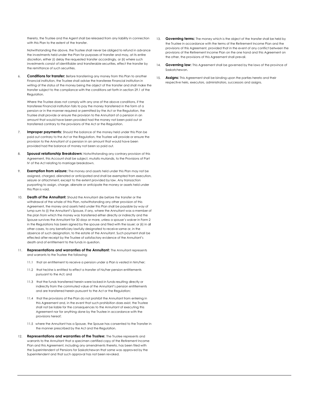with this Plan to the extent of the transfer. thereto, the Trustee and the Agent shall be released from any liability in connection

Notwithstanding the above, the Trustee shall never be obliged to refund in advance the investments held under the Plan for purposes of transfer and may, at its entire discretion, either (i) delay the requested transfer accordingly, or (ii) where such investments consist of identifiable and transferable securities, effect the transfer by the remittance of such securities.

 6. **Conditions for transfer:** Before transferring any money from this Plan to another Financial institution, the Trustee shall advise the transferee Financial institution in writing of the status of the money being the object of the transfer and shall make the transfer subject to the compliance with the conditions set forth in section 29.1 of the Regulation.

 Where the Trustee does not comply with any one of the above conditions, if the amount that would have been provided had the money not been paid out or transferee Financial institution fails to pay the money transferred in the form of a pension or in the manner required or permitted by the Act or the Regulation, the Trustee shall provide or ensure the provision to the Annuitant of a pension in an transferred contrary to the provisions of the Act or the Regulation.

- 7. **Improper payments:** Should the balance of the money held under this Plan be paid out contrary to the Act or the Regulation, the Trustee will provide or ensure the provision to the Annuitant of a pension in an amount that would have been provided had the balance of money not been so paid out.
- Spousal relationship Breakdown: Notwithstanding any contrary provision of this Agreement, this Account shall be subject, mutatis mutandis, to the Provisions of Part IV of the Act relating to marriage breakdown.
- 9. **Exemption from seizure:** The money and assets held under this Plan may not be assigned, charged, alienated or anticipated and shall be exempted from execution, seizure or attachment, except to the extent provided by law. Any transaction purporting to assign, charge, alienate or anticipate the money or assets held under this Plan is void.
- 10. **Death of the Annuitant:** Should the Annuitant die before the transfer or the withdrawal of the whole of this Plan, notwithstanding any other provision of this Agreement, the money and assets held under this Plan shall be payable by way of lump sum to (i) the Annuitant's Spouse, if any, where the Annuitant was a member of the plan from which the money was transferred either directly or indirectly and the Spouse survives the Annuitant for 30 days or more, unless a spouse's waiver in Form 2 in the Regulations has been signed by the spouse and filed with the issuer; or (ii) in all other cases, to any beneficiary lawfully designated to receive same or, in the absence of such designation, to the estate of the Annuitant. Such payment shall be effected after receipt by the Trustee of satisfactory evidence of the Annuitant's death and of entitlement to the funds in question.
- 11. **Representations and warranties of the Annuitant:** The Annuitant represents and warrants to the Trustee the following:
	- 11.1 that an entitlement to receive a pension under a Plan is vested in him/her;
	- 11.2 that he/she is entitled to effect a transfer of his/her pension entitlements pursuant to the Act; and
	- 11.3 that the funds transferred herein were locked-in funds resulting directly or indirectly from the commuted value of the Annuitant's pension entitlements and are transferred herein pursuant to the Act or the Regulation;
	- 11.4 that the provisions of the Plan do not prohibit the Annuitant from entering in this Agreement and, in the event that such prohibition does exist, the Trustee shall not be liable for the consequences to the Annuitant of executing this Agreement nor for anything done by the Trustee in accordance with the provisions hereof;
	- 11.5 where the Annuitant has a Spouse, the Spouse has consented to the Transfer in the manner prescribed by the Act and the Regulation.
- 12. **Representations and warranties of the Trustee:** The Trustee represents and warrants to the Annuitant that a specimen certified copy of the Retirement Income Plan and this Agreement, including any amendments thereto, has been filed with the Superintendent of Pensions for Saskatchewan that same was approved by the Superintendent and that such approval has not been revoked.
- 13. **Governing terms:** The money which is the object of the transfer shall be held by the Trustee in accordance with the terms of the Retirement Income Plan and the provisions of this Agreement, provided that in the event of any conflict between the provisions of the Retirement Income Plan on the one hand and this Agreement on the other, the provisions of this Agreement shall prevail.
- 14. **Governing law:** This Agreement shall be governed by the laws of the province of Saskatchewan.
- 15. **Assigns:** This Agreement shall be binding upon the parties hereto and their respective heirs, executors, administrators, successors and assigns.